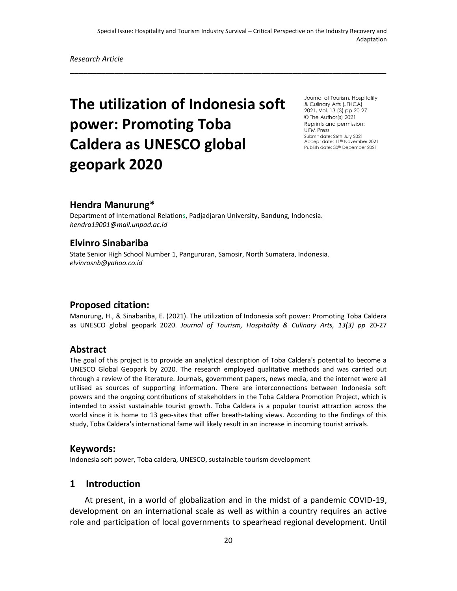\_\_\_\_\_\_\_\_\_\_\_\_\_\_\_\_\_\_\_\_\_\_\_\_\_\_\_\_\_\_\_\_\_\_\_\_\_\_\_\_\_\_\_\_\_\_\_\_\_\_\_\_\_\_\_\_\_\_\_\_\_\_\_\_\_\_\_\_\_\_\_

# **The utilization of Indonesia soft power: Promoting Toba Caldera as UNESCO global geopark 2020**

Journal of Tourism, Hospitality & Culinary Arts (JTHCA) 2021, Vol. 13 (3) pp 20-27 © The Author(s) 2021 Reprints and permission: UiTM Press Submit date: 26th July 2021 Accept date: 11<sup>th</sup> November 2021 Publish date: 30<sup>th</sup> December 2021

## **Hendra Manurung\***

Department of International Relations, Padjadjaran University, Bandung, Indonesia. *hendra19001@mail.unpad.ac.id*

# **Elvinro Sinabariba**

State Senior High School Number 1, Pangururan, Samosir, North Sumatera, Indonesia. *elvinrosnb@yahoo.co.id*

## **Proposed citation:**

Manurung, H., & Sinabariba, E. (2021). The utilization of Indonesia soft power: Promoting Toba Caldera as UNESCO global geopark 2020. *Journal of Tourism, Hospitality & Culinary Arts, 13(3) pp* 20-27

#### **Abstract**

The goal of this project is to provide an analytical description of Toba Caldera's potential to become a UNESCO Global Geopark by 2020. The research employed qualitative methods and was carried out through a review of the literature. Journals, government papers, news media, and the internet were all utilised as sources of supporting information. There are interconnections between Indonesia soft powers and the ongoing contributions of stakeholders in the Toba Caldera Promotion Project, which is intended to assist sustainable tourist growth. Toba Caldera is a popular tourist attraction across the world since it is home to 13 geo-sites that offer breath-taking views. According to the findings of this study, Toba Caldera's international fame will likely result in an increase in incoming tourist arrivals.

#### **Keywords:**

Indonesia soft power, Toba caldera, UNESCO, sustainable tourism development

## **1 Introduction**

At present, in a world of globalization and in the midst of a pandemic COVID-19, development on an international scale as well as within a country requires an active role and participation of local governments to spearhead regional development. Until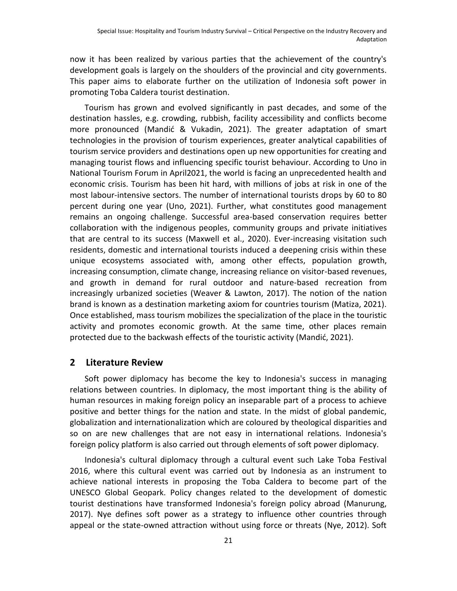now it has been realized by various parties that the achievement of the country's development goals is largely on the shoulders of the provincial and city governments. This paper aims to elaborate further on the utilization of Indonesia soft power in promoting Toba Caldera tourist destination.

Tourism has grown and evolved significantly in past decades, and some of the destination hassles, e.g. crowding, rubbish, facility accessibility and conflicts become more pronounced (Mandić & Vukadin, 2021). The greater adaptation of smart technologies in the provision of tourism experiences, greater analytical capabilities of tourism service providers and destinations open up new opportunities for creating and managing tourist flows and influencing specific tourist behaviour. According to Uno in National Tourism Forum in April2021, the world is facing an unprecedented health and economic crisis. Tourism has been hit hard, with millions of jobs at risk in one of the most labour-intensive sectors. The number of international tourists drops by 60 to 80 percent during one year (Uno, 2021). Further, what constitutes good management remains an ongoing challenge. Successful area-based conservation requires better collaboration with the indigenous peoples, community groups and private initiatives that are central to its success (Maxwell et al., 2020). Ever-increasing visitation such residents, domestic and international tourists induced a deepening crisis within these unique ecosystems associated with, among other effects, population growth, increasing consumption, climate change, increasing reliance on visitor-based revenues, and growth in demand for rural outdoor and nature-based recreation from increasingly urbanized societies (Weaver & Lawton, 2017). The notion of the nation brand is known as a destination marketing axiom for countries tourism (Matiza, 2021). Once established, mass tourism mobilizes the specialization of the place in the touristic activity and promotes economic growth. At the same time, other places remain protected due to the backwash effects of the touristic activity (Mandić, 2021).

## **2 Literature Review**

Soft power diplomacy has become the key to Indonesia's success in managing relations between countries. In diplomacy, the most important thing is the ability of human resources in making foreign policy an inseparable part of a process to achieve positive and better things for the nation and state. In the midst of global pandemic, globalization and internationalization which are coloured by theological disparities and so on are new challenges that are not easy in international relations. Indonesia's foreign policy platform is also carried out through elements of soft power diplomacy.

Indonesia's cultural diplomacy through a cultural event such Lake Toba Festival 2016, where this cultural event was carried out by Indonesia as an instrument to achieve national interests in proposing the Toba Caldera to become part of the UNESCO Global Geopark. Policy changes related to the development of domestic tourist destinations have transformed Indonesia's foreign policy abroad (Manurung, 2017). Nye defines soft power as a strategy to influence other countries through appeal or the state-owned attraction without using force or threats (Nye, 2012). Soft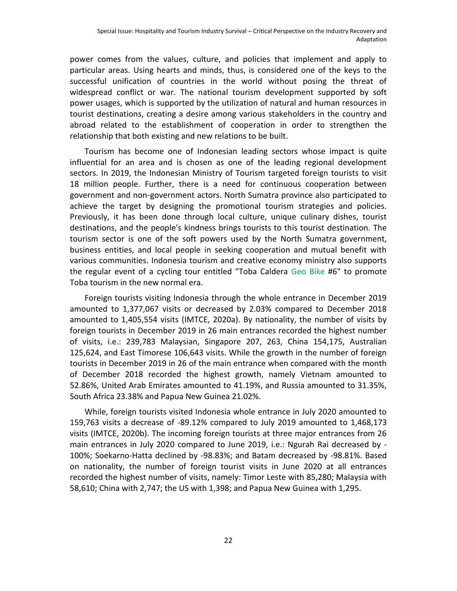power comes from the values, culture, and policies that implement and apply to particular areas. Using hearts and minds, thus, is considered one of the keys to the successful unification of countries in the world without posing the threat of widespread conflict or war. The national tourism development supported by soft power usages, which is supported by the utilization of natural and human resources in tourist destinations, creating a desire among various stakeholders in the country and abroad related to the establishment of cooperation in order to strengthen the relationship that both existing and new relations to be built.

Tourism has become one of Indonesian leading sectors whose impact is quite influential for an area and is chosen as one of the leading regional development sectors. In 2019, the Indonesian Ministry of Tourism targeted foreign tourists to visit 18 million people. Further, there is a need for continuous cooperation between government and non-government actors. North Sumatra province also participated to achieve the target by designing the promotional tourism strategies and policies. Previously, it has been done through local culture, unique culinary dishes, tourist destinations, and the people's kindness brings tourists to this tourist destination. The tourism sector is one of the soft powers used by the North Sumatra government, business entities, and local people in seeking cooperation and mutual benefit with various communities. Indonesia tourism and creative economy ministry also supports the regular event of a cycling tour entitled "Toba Caldera Geo Bike #6" to promote Toba tourism in the new normal era.

Foreign tourists visiting Indonesia through the whole entrance in December 2019 amounted to 1,377,067 visits or decreased by 2.03% compared to December 2018 amounted to 1,405,554 visits (IMTCE, 2020a). By nationality, the number of visits by foreign tourists in December 2019 in 26 main entrances recorded the highest number of visits, i.e.: 239,783 Malaysian, Singapore 207, 263, China 154,175, Australian 125,624, and East Timorese 106,643 visits. While the growth in the number of foreign tourists in December 2019 in 26 of the main entrance when compared with the month of December 2018 recorded the highest growth, namely Vietnam amounted to 52.86%, United Arab Emirates amounted to 41.19%, and Russia amounted to 31.35%, South Africa 23.38% and Papua New Guinea 21.02%.

While, foreign tourists visited Indonesia whole entrance in July 2020 amounted to 159,763 visits a decrease of -89.12% compared to July 2019 amounted to 1,468,173 visits (IMTCE, 2020b). The incoming foreign tourists at three major entrances from 26 main entrances in July 2020 compared to June 2019, i.e.: Ngurah Rai decreased by - 100%; Soekarno-Hatta declined by -98.83%; and Batam decreased by -98.81%. Based on nationality, the number of foreign tourist visits in June 2020 at all entrances recorded the highest number of visits, namely: Timor Leste with 85,280; Malaysia with 58,610; China with 2,747; the US with 1,398; and Papua New Guinea with 1,295.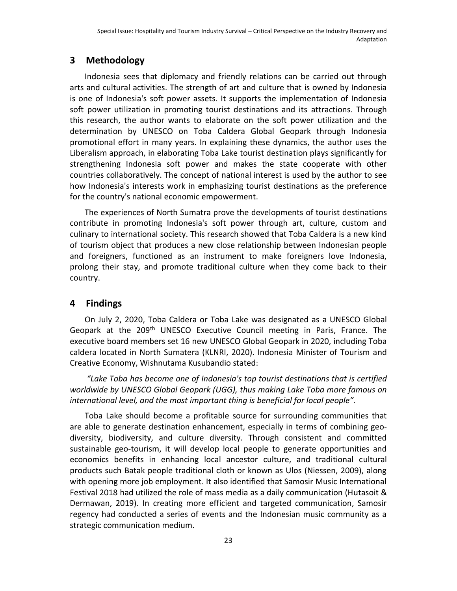# **3 Methodology**

Indonesia sees that diplomacy and friendly relations can be carried out through arts and cultural activities. The strength of art and culture that is owned by Indonesia is one of Indonesia's soft power assets. It supports the implementation of Indonesia soft power utilization in promoting tourist destinations and its attractions. Through this research, the author wants to elaborate on the soft power utilization and the determination by UNESCO on Toba Caldera Global Geopark through Indonesia promotional effort in many years. In explaining these dynamics, the author uses the Liberalism approach, in elaborating Toba Lake tourist destination plays significantly for strengthening Indonesia soft power and makes the state cooperate with other countries collaboratively. The concept of national interest is used by the author to see how Indonesia's interests work in emphasizing tourist destinations as the preference for the country's national economic empowerment.

The experiences of North Sumatra prove the developments of tourist destinations contribute in promoting Indonesia's soft power through art, culture, custom and culinary to international society. This research showed that Toba Caldera is a new kind of tourism object that produces a new close relationship between Indonesian people and foreigners, functioned as an instrument to make foreigners love Indonesia, prolong their stay, and promote traditional culture when they come back to their country.

# **4 Findings**

On July 2, 2020, Toba Caldera or Toba Lake was designated as a UNESCO Global Geopark at the 209<sup>th</sup> UNESCO Executive Council meeting in Paris, France. The executive board members set 16 new UNESCO Global Geopark in 2020, including Toba caldera located in North Sumatera (KLNRI, 2020). Indonesia Minister of Tourism and Creative Economy, Wishnutama Kusubandio stated:

*"Lake Toba has become one of Indonesia's top tourist destinations that is certified worldwide by UNESCO Global Geopark (UGG), thus making Lake Toba more famous on international level, and the most important thing is beneficial for local people".* 

Toba Lake should become a profitable source for surrounding communities that are able to generate destination enhancement, especially in terms of combining geodiversity, biodiversity, and culture diversity. Through consistent and committed sustainable geo-tourism, it will develop local people to generate opportunities and economics benefits in enhancing local ancestor culture, and traditional cultural products such Batak people traditional cloth or known as Ulos (Niessen, 2009), along with opening more job employment. It also identified that Samosir Music International Festival 2018 had utilized the role of mass media as a daily communication (Hutasoit & Dermawan, 2019). In creating more efficient and targeted communication, Samosir regency had conducted a series of events and the Indonesian music community as a strategic communication medium.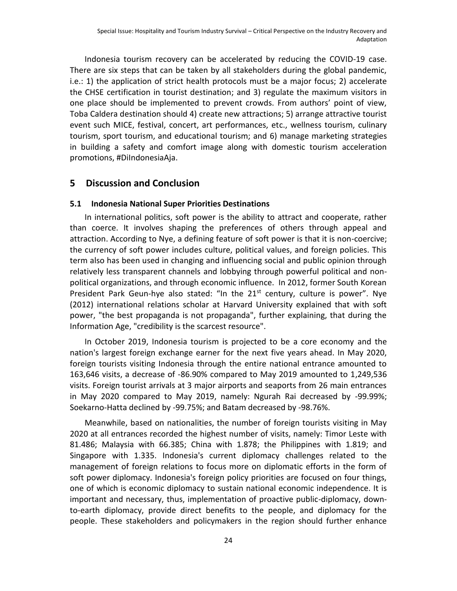Indonesia tourism recovery can be accelerated by reducing the COVID-19 case. There are six steps that can be taken by all stakeholders during the global pandemic, i.e.: 1) the application of strict health protocols must be a major focus; 2) accelerate the CHSE certification in tourist destination; and 3) regulate the maximum visitors in one place should be implemented to prevent crowds. From authors' point of view, Toba Caldera destination should 4) create new attractions; 5) arrange attractive tourist event such MICE, festival, concert, art performances, etc., wellness tourism, culinary tourism, sport tourism, and educational tourism; and 6) manage marketing strategies in building a safety and comfort image along with domestic tourism acceleration promotions, #DiIndonesiaAja.

#### **5 Discussion and Conclusion**

#### **5.1 Indonesia National Super Priorities Destinations**

In international politics, soft power is the ability to attract and cooperate, rather than coerce. It involves shaping the preferences of others through appeal and attraction. According to Nye, a defining feature of soft power is that it is non-coercive; the currency of soft power includes culture, political values, and foreign policies. This term also has been used in changing and influencing social and public opinion through relatively less transparent channels and lobbying through powerful political and nonpolitical organizations, and through economic influence. In 2012, former South Korean President Park Geun-hye also stated: "In the  $21<sup>st</sup>$  century, culture is power". Nye (2012) international relations scholar at Harvard University explained that with soft power, "the best propaganda is not propaganda", further explaining, that during the Information Age, "credibility is the scarcest resource".

In October 2019, Indonesia tourism is projected to be a core economy and the nation's largest foreign exchange earner for the next five years ahead. In May 2020, foreign tourists visiting Indonesia through the entire national entrance amounted to 163,646 visits, a decrease of -86.90% compared to May 2019 amounted to 1,249,536 visits. Foreign tourist arrivals at 3 major airports and seaports from 26 main entrances in May 2020 compared to May 2019, namely: Ngurah Rai decreased by -99.99%; Soekarno-Hatta declined by -99.75%; and Batam decreased by -98.76%.

Meanwhile, based on nationalities, the number of foreign tourists visiting in May 2020 at all entrances recorded the highest number of visits, namely: Timor Leste with 81.486; Malaysia with 66.385; China with 1.878; the Philippines with 1.819; and Singapore with 1.335. Indonesia's current diplomacy challenges related to the management of foreign relations to focus more on diplomatic efforts in the form of soft power diplomacy. Indonesia's foreign policy priorities are focused on four things, one of which is economic diplomacy to sustain national economic independence. It is important and necessary, thus, implementation of proactive public-diplomacy, downto-earth diplomacy, provide direct benefits to the people, and diplomacy for the people. These stakeholders and policymakers in the region should further enhance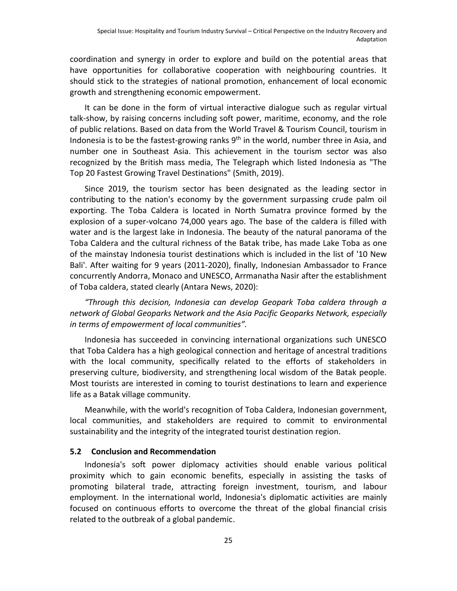coordination and synergy in order to explore and build on the potential areas that have opportunities for collaborative cooperation with neighbouring countries. It should stick to the strategies of national promotion, enhancement of local economic growth and strengthening economic empowerment.

It can be done in the form of virtual interactive dialogue such as regular virtual talk-show, by raising concerns including soft power, maritime, economy, and the role of public relations. Based on data from the World Travel & Tourism Council, tourism in Indonesia is to be the fastest-growing ranks  $9<sup>th</sup>$  in the world, number three in Asia, and number one in Southeast Asia. This achievement in the tourism sector was also recognized by the British mass media, The Telegraph which listed Indonesia as "The Top 20 Fastest Growing Travel Destinations" (Smith, 2019).

Since 2019, the tourism sector has been designated as the leading sector in contributing to the nation's economy by the government surpassing crude palm oil exporting. The Toba Caldera is located in North Sumatra province formed by the explosion of a super-volcano 74,000 years ago. The base of the caldera is filled with water and is the largest lake in Indonesia. The beauty of the natural panorama of the Toba Caldera and the cultural richness of the Batak tribe, has made Lake Toba as one of the mainstay Indonesia tourist destinations which is included in the list of '10 New Bali'. After waiting for 9 years (2011-2020), finally, Indonesian Ambassador to France concurrently Andorra, Monaco and UNESCO, Arrmanatha Nasir after the establishment of Toba caldera, stated clearly (Antara News, 2020):

*"Through this decision, Indonesia can develop Geopark Toba caldera through a network of Global Geoparks Network and the Asia Pacific Geoparks Network, especially in terms of empowerment of local communities".*

Indonesia has succeeded in convincing international organizations such UNESCO that Toba Caldera has a high geological connection and heritage of ancestral traditions with the local community, specifically related to the efforts of stakeholders in preserving culture, biodiversity, and strengthening local wisdom of the Batak people. Most tourists are interested in coming to tourist destinations to learn and experience life as a Batak village community.

Meanwhile, with the world's recognition of Toba Caldera, Indonesian government, local communities, and stakeholders are required to commit to environmental sustainability and the integrity of the integrated tourist destination region.

#### **5.2 Conclusion and Recommendation**

Indonesia's soft power diplomacy activities should enable various political proximity which to gain economic benefits, especially in assisting the tasks of promoting bilateral trade, attracting foreign investment, tourism, and labour employment. In the international world, Indonesia's diplomatic activities are mainly focused on continuous efforts to overcome the threat of the global financial crisis related to the outbreak of a global pandemic.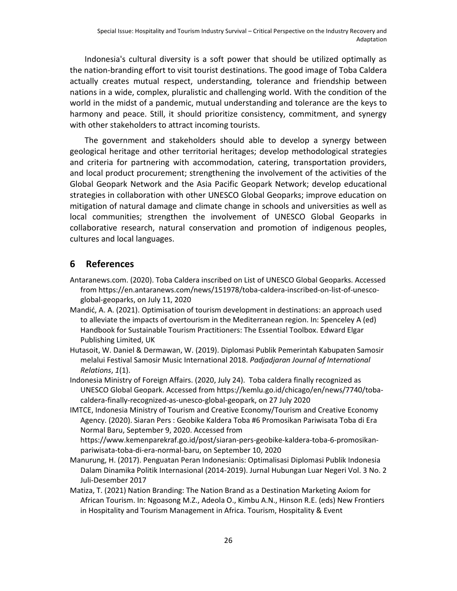Indonesia's cultural diversity is a soft power that should be utilized optimally as the nation-branding effort to visit tourist destinations. The good image of Toba Caldera actually creates mutual respect, understanding, tolerance and friendship between nations in a wide, complex, pluralistic and challenging world. With the condition of the world in the midst of a pandemic, mutual understanding and tolerance are the keys to harmony and peace. Still, it should prioritize consistency, commitment, and synergy with other stakeholders to attract incoming tourists.

The government and stakeholders should able to develop a synergy between geological heritage and other territorial heritages; develop methodological strategies and criteria for partnering with accommodation, catering, transportation providers, and local product procurement; strengthening the involvement of the activities of the Global Geopark Network and the Asia Pacific Geopark Network; develop educational strategies in collaboration with other UNESCO Global Geoparks; improve education on mitigation of natural damage and climate change in schools and universities as well as local communities; strengthen the involvement of UNESCO Global Geoparks in collaborative research, natural conservation and promotion of indigenous peoples, cultures and local languages.

# **6 References**

- Antaranews.com. (2020). Toba Caldera inscribed on List of UNESCO Global Geoparks. Accessed from https://en.antaranews.com/news/151978/toba-caldera-inscribed-on-list-of-unescoglobal-geoparks, on July 11, 2020
- Mandić, A. A. (2021). Optimisation of tourism development in destinations: an approach used to alleviate the impacts of overtourism in the Mediterranean region. In: Spenceley A (ed) Handbook for Sustainable Tourism Practitioners: The Essential Toolbox. Edward Elgar Publishing Limited, UK
- Hutasoit, W. Daniel & Dermawan, W. (2019). Diplomasi Publik Pemerintah Kabupaten Samosir melalui Festival Samosir Music International 2018. *Padjadjaran Journal of International Relations*, *1*(1).
- Indonesia Ministry of Foreign Affairs. (2020, July 24). Toba caldera finally recognized as UNESCO Global Geopark. Accessed from https://kemlu.go.id/chicago/en/news/7740/tobacaldera-finally-recognized-as-unesco-global-geopark, on 27 July 2020
- IMTCE, Indonesia Ministry of Tourism and Creative Economy/Tourism and Creative Economy Agency. (2020). Siaran Pers : Geobike Kaldera Toba #6 Promosikan Pariwisata Toba di Era Normal Baru, September 9, 2020. Accessed from

https://www.kemenparekraf.go.id/post/siaran-pers-geobike-kaldera-toba-6-promosikanpariwisata-toba-di-era-normal-baru, on September 10, 2020

- Manurung, H. (2017). Penguatan Peran Indonesianis: Optimalisasi Diplomasi Publik Indonesia Dalam Dinamika Politik Internasional (2014-2019). Jurnal Hubungan Luar Negeri Vol. 3 No. 2 Juli-Desember 2017
- Matiza, T. (2021) Nation Branding: The Nation Brand as a Destination Marketing Axiom for African Tourism. In: Ngoasong M.Z., Adeola O., Kimbu A.N., Hinson R.E. (eds) New Frontiers in Hospitality and Tourism Management in Africa. Tourism, Hospitality & Event